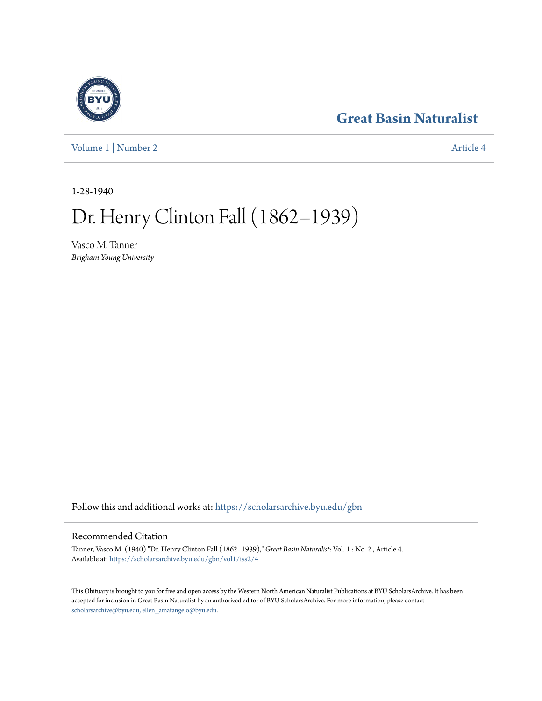## **[Great Basin Naturalist](https://scholarsarchive.byu.edu/gbn?utm_source=scholarsarchive.byu.edu%2Fgbn%2Fvol1%2Fiss2%2F4&utm_medium=PDF&utm_campaign=PDFCoverPages)**

[Volume 1](https://scholarsarchive.byu.edu/gbn/vol1?utm_source=scholarsarchive.byu.edu%2Fgbn%2Fvol1%2Fiss2%2F4&utm_medium=PDF&utm_campaign=PDFCoverPages) | [Number 2](https://scholarsarchive.byu.edu/gbn/vol1/iss2?utm_source=scholarsarchive.byu.edu%2Fgbn%2Fvol1%2Fiss2%2F4&utm_medium=PDF&utm_campaign=PDFCoverPages) [Article 4](https://scholarsarchive.byu.edu/gbn/vol1/iss2/4?utm_source=scholarsarchive.byu.edu%2Fgbn%2Fvol1%2Fiss2%2F4&utm_medium=PDF&utm_campaign=PDFCoverPages)

1-28-1940

## Dr. Henry Clinton Fall (1862-1939)

Vasco M. Tanner *Brigham Young University*

Follow this and additional works at: [https://scholarsarchive.byu.edu/gbn](https://scholarsarchive.byu.edu/gbn?utm_source=scholarsarchive.byu.edu%2Fgbn%2Fvol1%2Fiss2%2F4&utm_medium=PDF&utm_campaign=PDFCoverPages)

## Recommended Citation

Tanner, Vasco M. (1940) "Dr. Henry Clinton Fall (1862–1939)," *Great Basin Naturalist*: Vol. 1 : No. 2 , Article 4. Available at: [https://scholarsarchive.byu.edu/gbn/vol1/iss2/4](https://scholarsarchive.byu.edu/gbn/vol1/iss2/4?utm_source=scholarsarchive.byu.edu%2Fgbn%2Fvol1%2Fiss2%2F4&utm_medium=PDF&utm_campaign=PDFCoverPages)

This Obituary is brought to you for free and open access by the Western North American Naturalist Publications at BYU ScholarsArchive. It has been accepted for inclusion in Great Basin Naturalist by an authorized editor of BYU ScholarsArchive. For more information, please contact [scholarsarchive@byu.edu, ellen\\_amatangelo@byu.edu.](mailto:scholarsarchive@byu.edu,%20ellen_amatangelo@byu.edu)